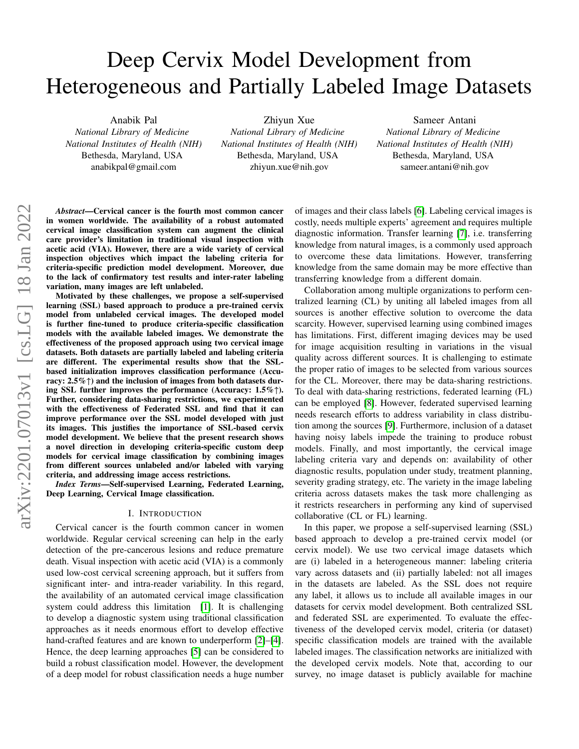# Deep Cervix Model Development from Heterogeneous and Partially Labeled Image Datasets

Anabik Pal

*National Library of Medicine National Institutes of Health (NIH)* Bethesda, Maryland, USA anabikpal@gmail.com

Zhiyun Xue *National Library of Medicine National Institutes of Health (NIH)* Bethesda, Maryland, USA zhiyun.xue@nih.gov

Sameer Antani *National Library of Medicine National Institutes of Health (NIH)* Bethesda, Maryland, USA sameer.antani@nih.gov

*Abstract*—Cervical cancer is the fourth most common cancer in women worldwide. The availability of a robust automated cervical image classification system can augment the clinical care provider's limitation in traditional visual inspection with acetic acid (VIA). However, there are a wide variety of cervical inspection objectives which impact the labeling criteria for criteria-specific prediction model development. Moreover, due to the lack of confirmatory test results and inter-rater labeling variation, many images are left unlabeled.

Motivated by these challenges, we propose a self-supervised learning (SSL) based approach to produce a pre-trained cervix model from unlabeled cervical images. The developed model is further fine-tuned to produce criteria-specific classification models with the available labeled images. We demonstrate the effectiveness of the proposed approach using two cervical image datasets. Both datasets are partially labeled and labeling criteria are different. The experimental results show that the SSLbased initialization improves classification performance (Accuracy:  $2.5\%$   $\uparrow$ ) and the inclusion of images from both datasets during SSL further improves the performance (Accuracy: 1.5%↑). Further, considering data-sharing restrictions, we experimented with the effectiveness of Federated SSL and find that it can improve performance over the SSL model developed with just its images. This justifies the importance of SSL-based cervix model development. We believe that the present research shows a novel direction in developing criteria-specific custom deep models for cervical image classification by combining images from different sources unlabeled and/or labeled with varying criteria, and addressing image access restrictions.

*Index Terms*—Self-supervised Learning, Federated Learning, Deep Learning, Cervical Image classification.

#### I. INTRODUCTION

Cervical cancer is the fourth common cancer in women worldwide. Regular cervical screening can help in the early detection of the pre-cancerous lesions and reduce premature death. Visual inspection with acetic acid (VIA) is a commonly used low-cost cervical screening approach, but it suffers from significant inter- and intra-reader variability. In this regard, the availability of an automated cervical image classification system could address this limitation [\[1\]](#page-3-0). It is challenging to develop a diagnostic system using traditional classification approaches as it needs enormous effort to develop effective hand-crafted features and are known to underperform [\[2\]](#page-3-1)–[\[4\]](#page-3-2). Hence, the deep learning approaches [\[5\]](#page-3-3) can be considered to build a robust classification model. However, the development of a deep model for robust classification needs a huge number

of images and their class labels [\[6\]](#page-3-4). Labeling cervical images is costly, needs multiple experts' agreement and requires multiple diagnostic information. Transfer learning [\[7\]](#page-3-5), i.e. transferring knowledge from natural images, is a commonly used approach to overcome these data limitations. However, transferring knowledge from the same domain may be more effective than transferring knowledge from a different domain.

Collaboration among multiple organizations to perform centralized learning (CL) by uniting all labeled images from all sources is another effective solution to overcome the data scarcity. However, supervised learning using combined images has limitations. First, different imaging devices may be used for image acquisition resulting in variations in the visual quality across different sources. It is challenging to estimate the proper ratio of images to be selected from various sources for the CL. Moreover, there may be data-sharing restrictions. To deal with data-sharing restrictions, federated learning (FL) can be employed [\[8\]](#page-3-6). However, federated supervised learning needs research efforts to address variability in class distribution among the sources [\[9\]](#page-3-7). Furthermore, inclusion of a dataset having noisy labels impede the training to produce robust models. Finally, and most importantly, the cervical image labeling criteria vary and depends on: availability of other diagnostic results, population under study, treatment planning, severity grading strategy, etc. The variety in the image labeling criteria across datasets makes the task more challenging as it restricts researchers in performing any kind of supervised collaborative (CL or FL) learning.

In this paper, we propose a self-supervised learning (SSL) based approach to develop a pre-trained cervix model (or cervix model). We use two cervical image datasets which are (i) labeled in a heterogeneous manner: labeling criteria vary across datasets and (ii) partially labeled: not all images in the datasets are labeled. As the SSL does not require any label, it allows us to include all available images in our datasets for cervix model development. Both centralized SSL and federated SSL are experimented. To evaluate the effectiveness of the developed cervix model, criteria (or dataset) specific classification models are trained with the available labeled images. The classification networks are initialized with the developed cervix models. Note that, according to our survey, no image dataset is publicly available for machine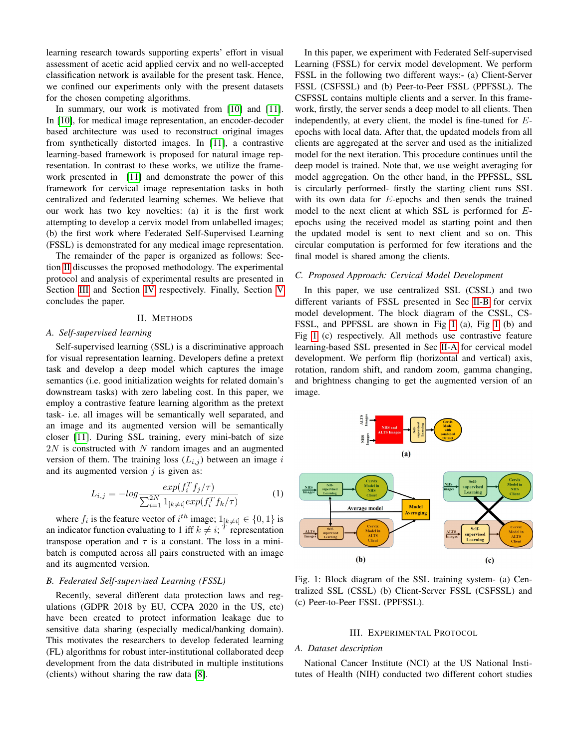learning research towards supporting experts' effort in visual assessment of acetic acid applied cervix and no well-accepted classification network is available for the present task. Hence, we confined our experiments only with the present datasets for the chosen competing algorithms.

In summary, our work is motivated from [\[10\]](#page-3-8) and [\[11\]](#page-3-9). In [\[10\]](#page-3-8), for medical image representation, an encoder-decoder based architecture was used to reconstruct original images from synthetically distorted images. In [\[11\]](#page-3-9), a contrastive learning-based framework is proposed for natural image representation. In contrast to these works, we utilize the framework presented in [\[11\]](#page-3-9) and demonstrate the power of this framework for cervical image representation tasks in both centralized and federated learning schemes. We believe that our work has two key novelties: (a) it is the first work attempting to develop a cervix model from unlabelled images; (b) the first work where Federated Self-Supervised Learning (FSSL) is demonstrated for any medical image representation.

The remainder of the paper is organized as follows: Section [II](#page-1-0) discusses the proposed methodology. The experimental protocol and analysis of experimental results are presented in Section [III](#page-1-1) and Section [IV](#page-2-0) respectively. Finally, Section [V](#page-3-10) concludes the paper.

#### II. METHODS

#### <span id="page-1-4"></span><span id="page-1-0"></span>*A. Self-supervised learning*

Self-supervised learning (SSL) is a discriminative approach for visual representation learning. Developers define a pretext task and develop a deep model which captures the image semantics (i.e. good initialization weights for related domain's downstream tasks) with zero labeling cost. In this paper, we employ a contrastive feature learning algorithm as the pretext task- i.e. all images will be semantically well separated, and an image and its augmented version will be semantically closer [\[11\]](#page-3-9). During SSL training, every mini-batch of size  $2N$  is constructed with N random images and an augmented version of them. The training loss  $(L_{i,j})$  between an image i and its augmented version  $j$  is given as:

$$
L_{i,j} = -\log \frac{\exp(f_i^T f_j/\tau)}{\sum_{i=1}^{2N} 1_{[k \neq i]} \exp(f_i^T f_k/\tau)}
$$
(1)

where  $f_i$  is the feature vector of  $i^{th}$  image;  $1_{[k \neq i]} \in \{0, 1\}$  is an indicator function evaluating to 1 iff  $k \neq i$ ; <sup>T</sup> representation transpose operation and  $\tau$  is a constant. The loss in a minibatch is computed across all pairs constructed with an image and its augmented version.

# <span id="page-1-2"></span>*B. Federated Self-supervised Learning (FSSL)*

Recently, several different data protection laws and regulations (GDPR 2018 by EU, CCPA 2020 in the US, etc) have been created to protect information leakage due to sensitive data sharing (especially medical/banking domain). This motivates the researchers to develop federated learning (FL) algorithms for robust inter-institutional collaborated deep development from the data distributed in multiple institutions (clients) without sharing the raw data [\[8\]](#page-3-6).

In this paper, we experiment with Federated Self-supervised Learning (FSSL) for cervix model development. We perform FSSL in the following two different ways:- (a) Client-Server FSSL (CSFSSL) and (b) Peer-to-Peer FSSL (PPFSSL). The CSFSSL contains multiple clients and a server. In this framework, firstly, the server sends a deep model to all clients. Then independently, at every client, the model is fine-tuned for Eepochs with local data. After that, the updated models from all clients are aggregated at the server and used as the initialized model for the next iteration. This procedure continues until the deep model is trained. Note that, we use weight averaging for model aggregation. On the other hand, in the PPFSSL, SSL is circularly performed- firstly the starting client runs SSL with its own data for E-epochs and then sends the trained model to the next client at which SSL is performed for Eepochs using the received model as starting point and then the updated model is sent to next client and so on. This circular computation is performed for few iterations and the final model is shared among the clients.

#### *C. Proposed Approach: Cervical Model Development*

In this paper, we use centralized SSL (CSSL) and two different variants of FSSL presented in Sec [II-B](#page-1-2) for cervix model development. The block diagram of the CSSL, CS-FSSL, and PPFSSL are shown in Fig [1](#page-1-3) (a), Fig [1](#page-1-3) (b) and Fig [1](#page-1-3) (c) respectively. All methods use contrastive feature learning-based SSL presented in Sec [II-A](#page-1-4) for cervical model development. We perform flip (horizontal and vertical) axis, rotation, random shift, and random zoom, gamma changing, and brightness changing to get the augmented version of an image.

<span id="page-1-3"></span>

Fig. 1: Block diagram of the SSL training system- (a) Centralized SSL (CSSL) (b) Client-Server FSSL (CSFSSL) and (c) Peer-to-Peer FSSL (PPFSSL).

#### III. EXPERIMENTAL PROTOCOL

#### <span id="page-1-1"></span>*A. Dataset description*

National Cancer Institute (NCI) at the US National Institutes of Health (NIH) conducted two different cohort studies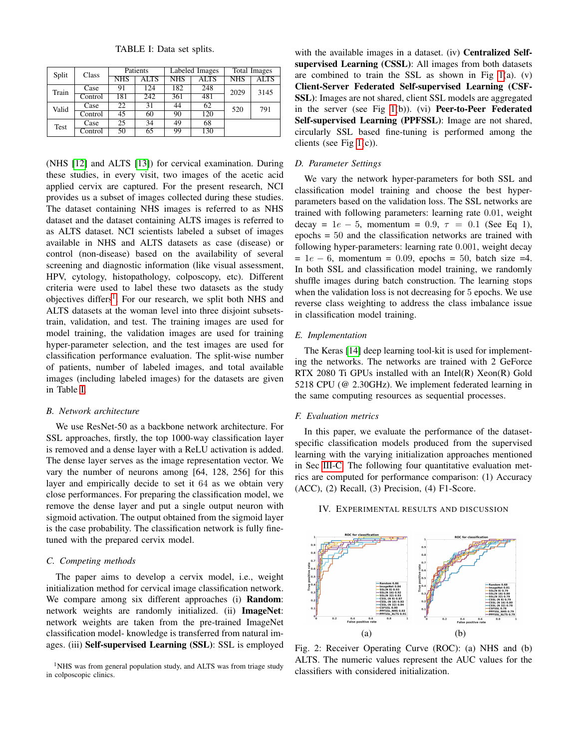TABLE I: Data set splits.

<span id="page-2-2"></span>

| Split | Class   | Patients   |      |            | Labeled Images | Total Images |      |
|-------|---------|------------|------|------------|----------------|--------------|------|
|       |         | <b>NHS</b> | ALTS | <b>NHS</b> | ALTS           | <b>NHS</b>   | ALTS |
| Train | Case    | 91         | 124  | 182        | 248            | 2029         | 3145 |
|       | Control | 181        | 242  | 361        | 481            |              |      |
| Valid | Case    | 22         | 31   | 44         | 62             | 520          | 791  |
|       | Control | 45         | 60   | 90         | 120            |              |      |
| Test  | Case    | 25         | 34   | 49         | 68             |              |      |
|       | Control | 50         | 65   | 99         | 130            |              |      |

(NHS [\[12\]](#page-4-0) and ALTS [\[13\]](#page-4-1)) for cervical examination. During these studies, in every visit, two images of the acetic acid applied cervix are captured. For the present research, NCI provides us a subset of images collected during these studies. The dataset containing NHS images is referred to as NHS dataset and the dataset containing ALTS images is referred to as ALTS dataset. NCI scientists labeled a subset of images available in NHS and ALTS datasets as case (disease) or control (non-disease) based on the availability of several screening and diagnostic information (like visual assessment, HPV, cytology, histopathology, colposcopy, etc). Different criteria were used to label these two datasets as the study objectives differs<sup>[1](#page-2-1)</sup>. For our research, we split both NHS and ALTS datasets at the woman level into three disjoint subsetstrain, validation, and test. The training images are used for model training, the validation images are used for training hyper-parameter selection, and the test images are used for classification performance evaluation. The split-wise number of patients, number of labeled images, and total available images (including labeled images) for the datasets are given in Table [I.](#page-2-2)

#### *B. Network architecture*

We use ResNet-50 as a backbone network architecture. For SSL approaches, firstly, the top 1000-way classification layer is removed and a dense layer with a ReLU activation is added. The dense layer serves as the image representation vector. We vary the number of neurons among [64, 128, 256] for this layer and empirically decide to set it 64 as we obtain very close performances. For preparing the classification model, we remove the dense layer and put a single output neuron with sigmoid activation. The output obtained from the sigmoid layer is the case probability. The classification network is fully finetuned with the prepared cervix model.

#### <span id="page-2-3"></span>*C. Competing methods*

The paper aims to develop a cervix model, i.e., weight initialization method for cervical image classification network. We compare among six different approaches (i) **Random**: network weights are randomly initialized. (ii) ImageNet: network weights are taken from the pre-trained ImageNet classification model- knowledge is transferred from natural images. (iii) Self-supervised Learning (SSL): SSL is employed

<span id="page-2-1"></span><sup>1</sup>NHS was from general population study, and ALTS was from triage study in colposcopic clinics.

with the available images in a dataset. (iv) **Centralized Self**supervised Learning (CSSL): All images from both datasets are combined to train the SSL as shown in Fig  $1(a)$ . (v) Client-Server Federated Self-supervised Learning (CSF-SSL): Images are not shared, client SSL models are aggregated in the server (see Fig [1\(](#page-1-3)b)). (vi) Peer-to-Peer Federated Self-supervised Learning (PPFSSL): Image are not shared, circularly SSL based fine-tuning is performed among the clients (see Fig [1\(](#page-1-3)c)).

#### *D. Parameter Settings*

We vary the network hyper-parameters for both SSL and classification model training and choose the best hyperparameters based on the validation loss. The SSL networks are trained with following parameters: learning rate 0.01, weight decay =  $1e - 5$ , momentum = 0.9,  $\tau = 0.1$  (See Eq 1), epochs = 50 and the classification networks are trained with following hyper-parameters: learning rate 0.001, weight decay  $= 1e - 6$ , momentum = 0.09, epochs = 50, batch size =4. In both SSL and classification model training, we randomly shuffle images during batch construction. The learning stops when the validation loss is not decreasing for 5 epochs. We use reverse class weighting to address the class imbalance issue in classification model training.

## *E. Implementation*

The Keras [\[14\]](#page-4-2) deep learning tool-kit is used for implementing the networks. The networks are trained with 2 GeForce RTX 2080 Ti GPUs installed with an Intel(R) Xeon(R) Gold 5218 CPU (@ 2.30GHz). We implement federated learning in the same computing resources as sequential processes.

## *F. Evaluation metrics*

In this paper, we evaluate the performance of the datasetspecific classification models produced from the supervised learning with the varying initialization approaches mentioned in Sec [III-C.](#page-2-3) The following four quantitative evaluation metrics are computed for performance comparison: (1) Accuracy (ACC), (2) Recall, (3) Precision, (4) F1-Score.

## <span id="page-2-0"></span>IV. EXPERIMENTAL RESULTS AND DISCUSSION

<span id="page-2-4"></span>

Fig. 2: Receiver Operating Curve (ROC): (a) NHS and (b) ALTS. The numeric values represent the AUC values for the classifiers with considered initialization.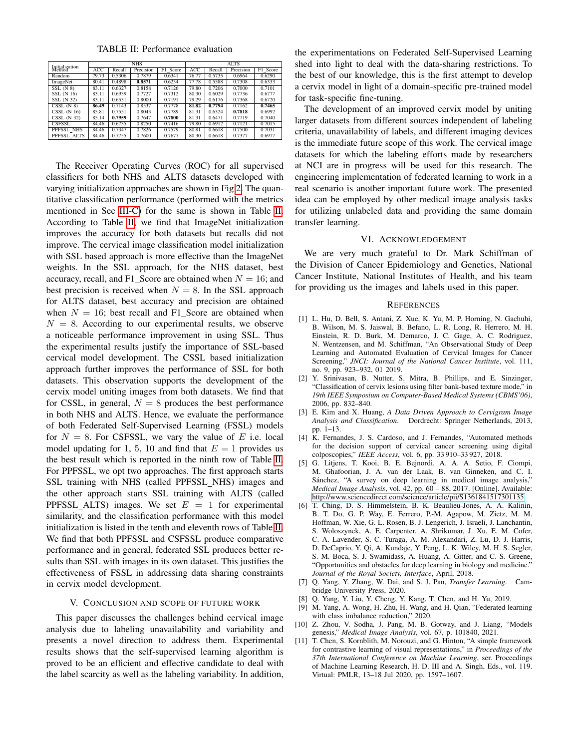TABLE II: Performance evaluation

<span id="page-3-11"></span>

|                          |       |        | <b>NHS</b> |          | <b>ALTS</b> |        |           |          |  |  |  |  |
|--------------------------|-------|--------|------------|----------|-------------|--------|-----------|----------|--|--|--|--|
| Initialization<br>Method | ACC   | Recall | Precision  | F1 Score | <b>ACC</b>  | Recall | Precision | F1 Score |  |  |  |  |
| Random                   | 79.73 | 0.5306 | 0.7879     | 0.6341   | 76.77       | 0.5735 | 0.6964    | 0.6290   |  |  |  |  |
| ImageNet                 | 80.41 | 0.4898 | 0.8571     | 0.6234   | 77.78       | 0.5588 | 0.7308    | 0.6333   |  |  |  |  |
| SSL(N 8)                 | 83.11 | 0.6327 | 0.8158     | 0.7126   | 79.80       | 0.7206 | 0.7000    | 0.7101   |  |  |  |  |
| SSL (N 16)               | 83.11 | 0.6939 | 0.7727     | 0.7312   | 80.30       | 0.6029 | 0.7736    | 0.6777   |  |  |  |  |
| SSL (N 32)               | 83.11 | 0.6531 | 0.8000     | 0.7191   | 79.29       | 0.6176 | 0.7368    | 0.6720   |  |  |  |  |
| $CSSL$ $(N 8)$           | 86.49 | 0.7143 | 0.8537     | 0.7778   | 81.82       | 0.7794 | 0.7162    | 0.7465   |  |  |  |  |
| CSSL(N16)                | 85.81 | 0.7551 | 0.8043     | 0.7789   | 81.31       | 0.6324 | 0.7818    | 0.6992   |  |  |  |  |
| CSSL (N 32)              | 85.14 | 0.7959 | 0.7647     | 0.7800   | 81.31       | 0.6471 | 0.7719    | 0.7040   |  |  |  |  |
| <b>CSFSSL</b>            | 84.46 | 0.6735 | 0.8250     | 0.7416   | 79.80       | 0.6912 | 0.7121    | 0.7015   |  |  |  |  |
| PPFSSL NHS               | 84.46 | 0.7347 | 0.7826     | 0.7579   | 80.81       | 0.6618 | 0.7500    | 0.7031   |  |  |  |  |
| PPFSSL ALTS              | 84.46 | 0.7755 | 0.7600     | 0.7677   | 80.30       | 0.6618 | 0.7377    | 0.6977   |  |  |  |  |

The Receiver Operating Curves (ROC) for all supervised classifiers for both NHS and ALTS datasets developed with varying initialization approaches are shown in Fig [2.](#page-2-4) The quantitative classification performance (performed with the metrics mentioned in Sec [III-C\)](#page-2-3) for the same is shown in Table [II.](#page-3-11) According to Table [II,](#page-3-11) we find that ImageNet initialization improves the accuracy for both datasets but recalls did not improve. The cervical image classification model initialization with SSL based approach is more effective than the ImageNet weights. In the SSL approach, for the NHS dataset, best accuracy, recall, and F1\_Score are obtained when  $N = 16$ ; and best precision is received when  $N = 8$ . In the SSL approach for ALTS dataset, best accuracy and precision are obtained when  $N = 16$ ; best recall and F1\_Score are obtained when  $N = 8$ . According to our experimental results, we observe a noticeable performance improvement in using SSL. Thus the experimental results justify the importance of SSL-based cervical model development. The CSSL based initialization approach further improves the performance of SSL for both datasets. This observation supports the development of the cervix model uniting images from both datasets. We find that for CSSL, in general,  $N = 8$  produces the best performance in both NHS and ALTS. Hence, we evaluate the performance of both Federated Self-Supervised Learning (FSSL) models for  $N = 8$ . For CSFSSL, we vary the value of E i.e. local model updating for 1, 5, 10 and find that  $E = 1$  provides us the best result which is reported in the ninth row of Table [II.](#page-3-11) For PPFSSL, we opt two approaches. The first approach starts SSL training with NHS (called PPFSSL\_NHS) images and the other approach starts SSL training with ALTS (called PPFSSL\_ALTS) images. We set  $E = 1$  for experimental similarity, and the classification performance with this model initialization is listed in the tenth and eleventh rows of Table [II.](#page-3-11) We find that both PPFSSL and CSFSSL produce comparative performance and in general, federated SSL produces better results than SSL with images in its own dataset. This justifies the effectiveness of FSSL in addressing data sharing constraints in cervix model development.

## V. CONCLUSION AND SCOPE OF FUTURE WORK

<span id="page-3-10"></span>This paper discusses the challenges behind cervical image analysis due to labeling unavailability and variability and presents a novel direction to address them. Experimental results shows that the self-supervised learning algorithm is proved to be an efficient and effective candidate to deal with the label scarcity as well as the labeling variability. In addition, the experimentations on Federated Self-Supervised Learning shed into light to deal with the data-sharing restrictions. To the best of our knowledge, this is the first attempt to develop a cervix model in light of a domain-specific pre-trained model for task-specific fine-tuning.

The development of an improved cervix model by uniting larger datasets from different sources independent of labeling criteria, unavailability of labels, and different imaging devices is the immediate future scope of this work. The cervical image datasets for which the labeling efforts made by researchers at NCI are in progress will be used for this research. The engineering implementation of federated learning to work in a real scenario is another important future work. The presented idea can be employed by other medical image analysis tasks for utilizing unlabeled data and providing the same domain transfer learning.

## VI. ACKNOWLEDGEMENT

We are very much grateful to Dr. Mark Schiffman of the Division of Cancer Epidemiology and Genetics, National Cancer Institute, National Institutes of Health, and his team for providing us the images and labels used in this paper.

#### **REFERENCES**

- <span id="page-3-0"></span>[1] L. Hu, D. Bell, S. Antani, Z. Xue, K. Yu, M. P. Horning, N. Gachuhi, B. Wilson, M. S. Jaiswal, B. Befano, L. R. Long, R. Herrero, M. H. Einstein, R. D. Burk, M. Demarco, J. C. Gage, A. C. Rodriguez, N. Wentzensen, and M. Schiffman, "An Observational Study of Deep Learning and Automated Evaluation of Cervical Images for Cancer Screening," *JNCI: Journal of the National Cancer Institute*, vol. 111, no. 9, pp. 923–932, 01 2019.
- <span id="page-3-1"></span>[2] Y. Srinivasan, B. Nutter, S. Mitra, B. Phillips, and E. Sinzinger, "Classification of cervix lesions using filter bank-based texture mode," in *19th IEEE Symposium on Computer-Based Medical Systems (CBMS'06)*, 2006, pp. 832–840.
- [3] E. Kim and X. Huang, *A Data Driven Approach to Cervigram Image Analysis and Classification*. Dordrecht: Springer Netherlands, 2013, pp. 1–13.
- <span id="page-3-2"></span>[4] K. Fernandes, J. S. Cardoso, and J. Fernandes, "Automated methods for the decision support of cervical cancer screening using digital colposcopies," *IEEE Access*, vol. 6, pp. 33 910–33 927, 2018.
- <span id="page-3-3"></span>[5] G. Litjens, T. Kooi, B. E. Bejnordi, A. A. A. Setio, F. Ciompi, M. Ghafoorian, J. A. van der Laak, B. van Ginneken, and C. I. Sánchez, "A survey on deep learning in medical image analysis," *Medical Image Analysis*, vol. 42, pp. 60 – 88, 2017. [Online]. Available: <http://www.sciencedirect.com/science/article/pii/S1361841517301135>
- <span id="page-3-4"></span>[6] T. Ching, D. S. Himmelstein, B. K. Beaulieu-Jones, A. A. Kalinin, B. T. Do, G. P. Way, E. Ferrero, P.-M. Agapow, M. Zietz, M. M. Hoffman, W. Xie, G. L. Rosen, B. J. Lengerich, J. Israeli, J. Lanchantin, S. Woloszynek, A. E. Carpenter, A. Shrikumar, J. Xu, E. M. Cofer, C. A. Lavender, S. C. Turaga, A. M. Alexandari, Z. Lu, D. J. Harris, D. DeCaprio, Y. Qi, A. Kundaje, Y. Peng, L. K. Wiley, M. H. S. Segler, S. M. Boca, S. J. Swamidass, A. Huang, A. Gitter, and C. S. Greene, "Opportunities and obstacles for deep learning in biology and medicine." *Journal of the Royal Society, Interface*, April, 2018.
- <span id="page-3-5"></span>[7] Q. Yang, Y. Zhang, W. Dai, and S. J. Pan, *Transfer Learning*. Cambridge University Press, 2020.
- <span id="page-3-6"></span>[8] Q. Yang, Y. Liu, Y. Cheng, Y. Kang, T. Chen, and H. Yu, 2019.
- <span id="page-3-7"></span>[9] M. Yang, A. Wong, H. Zhu, H. Wang, and H. Qian, "Federated learning with class imbalance reduction," 2020.
- <span id="page-3-8"></span>[10] Z. Zhou, V. Sodha, J. Pang, M. B. Gotway, and J. Liang, "Models genesis," *Medical Image Analysis*, vol. 67, p. 101840, 2021.
- <span id="page-3-9"></span>[11] T. Chen, S. Kornblith, M. Norouzi, and G. Hinton, "A simple framework for contrastive learning of visual representations," in *Proceedings of the 37th International Conference on Machine Learning*, ser. Proceedings of Machine Learning Research, H. D. III and A. Singh, Eds., vol. 119. Virtual: PMLR, 13–18 Jul 2020, pp. 1597–1607.